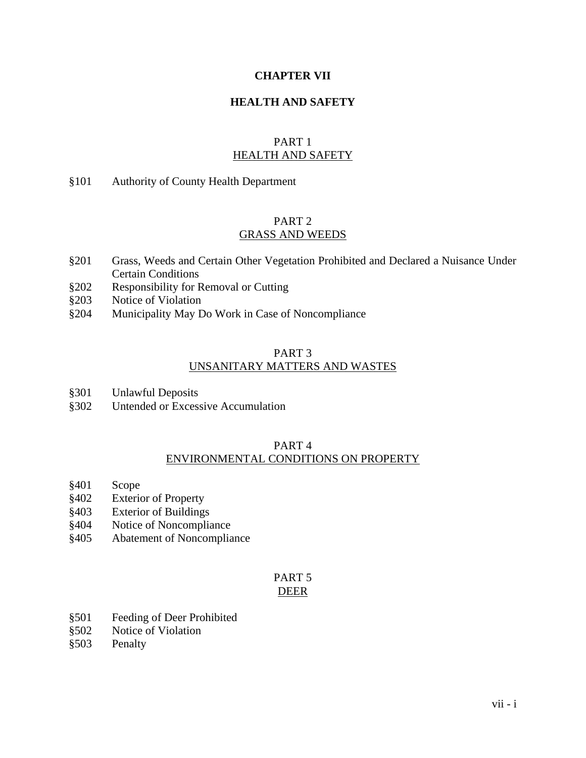#### **CHAPTER VII**

#### **HEALTH AND SAFETY**

#### PART 1 HEALTH AND SAFETY

#### §101 Authority of County Health Department

#### PART 2 GRASS AND WEEDS

- §201 Grass, Weeds and Certain Other Vegetation Prohibited and Declared a Nuisance Under Certain Conditions
- §202 Responsibility for Removal or Cutting
- §203 Notice of Violation
- §204 Municipality May Do Work in Case of Noncompliance

### PART 3 UNSANITARY MATTERS AND WASTES

- §301 Unlawful Deposits
- §302 Untended or Excessive Accumulation

# PART 4

### ENVIRONMENTAL CONDITIONS ON PROPERTY

- §401 Scope
- §402 Exterior of Property
- §403 Exterior of Buildings
- §404 Notice of Noncompliance
- §405 Abatement of Noncompliance

#### PART 5 DEER

- §501 Feeding of Deer Prohibited
- §502 Notice of Violation
- §503 Penalty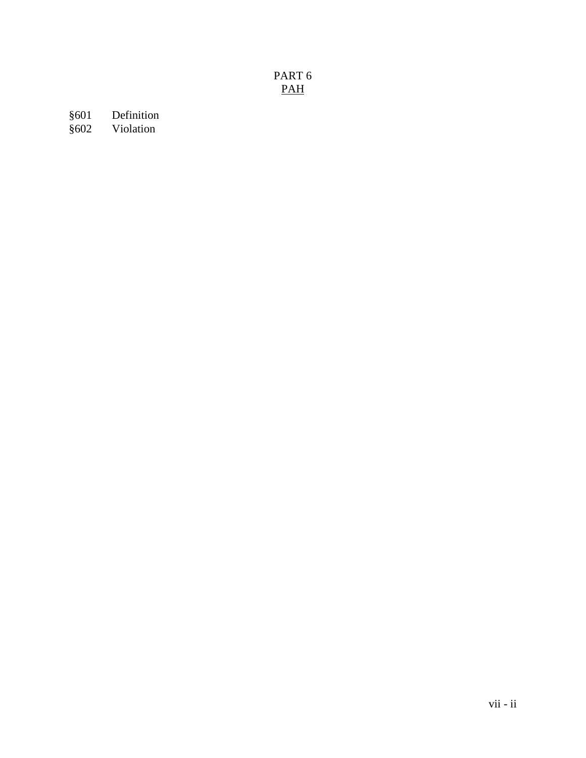# PART 6 PAH

§601 Definition<br>§602 Violation **Violation**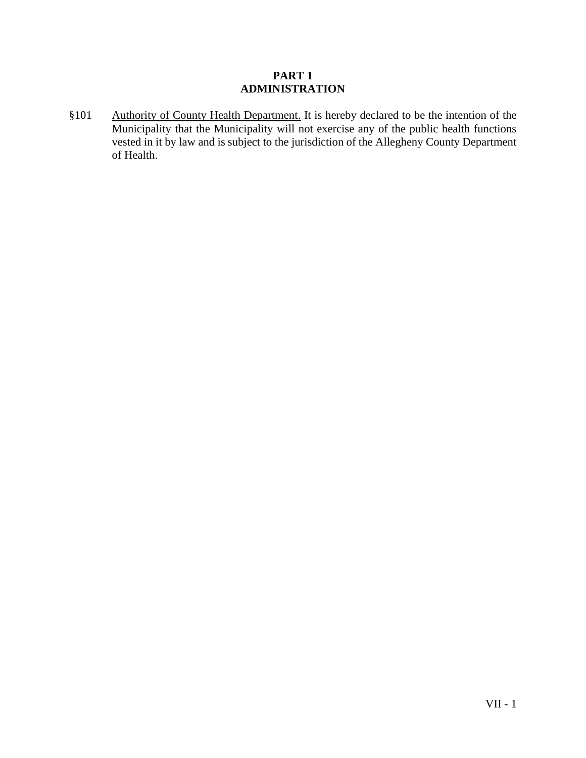#### **PART 1 ADMINISTRATION**

§101 Authority of County Health Department. It is hereby declared to be the intention of the Municipality that the Municipality will not exercise any of the public health functions vested in it by law and is subject to the jurisdiction of the Allegheny County Department of Health.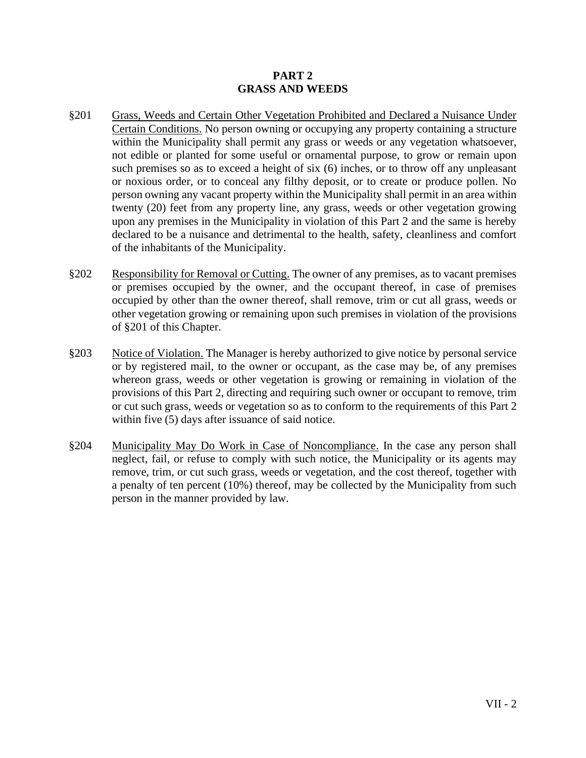#### **PART 2 GRASS AND WEEDS**

- §201 Grass, Weeds and Certain Other Vegetation Prohibited and Declared a Nuisance Under Certain Conditions. No person owning or occupying any property containing a structure within the Municipality shall permit any grass or weeds or any vegetation whatsoever, not edible or planted for some useful or ornamental purpose, to grow or remain upon such premises so as to exceed a height of six (6) inches, or to throw off any unpleasant or noxious order, or to conceal any filthy deposit, or to create or produce pollen. No person owning any vacant property within the Municipality shall permit in an area within twenty (20) feet from any property line, any grass, weeds or other vegetation growing upon any premises in the Municipality in violation of this Part 2 and the same is hereby declared to be a nuisance and detrimental to the health, safety, cleanliness and comfort of the inhabitants of the Municipality.
- §202 Responsibility for Removal or Cutting. The owner of any premises, as to vacant premises or premises occupied by the owner, and the occupant thereof, in case of premises occupied by other than the owner thereof, shall remove, trim or cut all grass, weeds or other vegetation growing or remaining upon such premises in violation of the provisions of §201 of this Chapter.
- §203 Notice of Violation. The Manager is hereby authorized to give notice by personal service or by registered mail, to the owner or occupant, as the case may be, of any premises whereon grass, weeds or other vegetation is growing or remaining in violation of the provisions of this Part 2, directing and requiring such owner or occupant to remove, trim or cut such grass, weeds or vegetation so as to conform to the requirements of this Part 2 within five (5) days after issuance of said notice.
- §204 Municipality May Do Work in Case of Noncompliance. In the case any person shall neglect, fail, or refuse to comply with such notice, the Municipality or its agents may remove, trim, or cut such grass, weeds or vegetation, and the cost thereof, together with a penalty of ten percent (10%) thereof, may be collected by the Municipality from such person in the manner provided by law.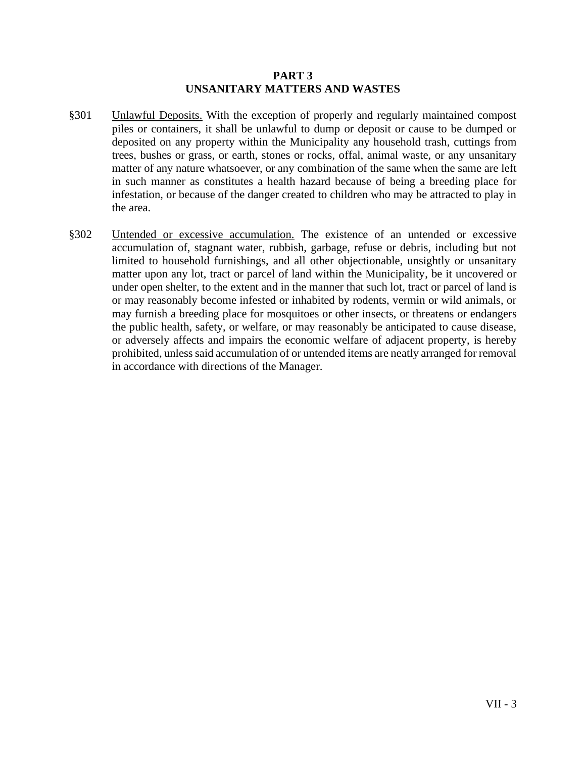#### **PART 3 UNSANITARY MATTERS AND WASTES**

- §301 Unlawful Deposits. With the exception of properly and regularly maintained compost piles or containers, it shall be unlawful to dump or deposit or cause to be dumped or deposited on any property within the Municipality any household trash, cuttings from trees, bushes or grass, or earth, stones or rocks, offal, animal waste, or any unsanitary matter of any nature whatsoever, or any combination of the same when the same are left in such manner as constitutes a health hazard because of being a breeding place for infestation, or because of the danger created to children who may be attracted to play in the area.
- §302 Untended or excessive accumulation. The existence of an untended or excessive accumulation of, stagnant water, rubbish, garbage, refuse or debris, including but not limited to household furnishings, and all other objectionable, unsightly or unsanitary matter upon any lot, tract or parcel of land within the Municipality, be it uncovered or under open shelter, to the extent and in the manner that such lot, tract or parcel of land is or may reasonably become infested or inhabited by rodents, vermin or wild animals, or may furnish a breeding place for mosquitoes or other insects, or threatens or endangers the public health, safety, or welfare, or may reasonably be anticipated to cause disease, or adversely affects and impairs the economic welfare of adjacent property, is hereby prohibited, unless said accumulation of or untended items are neatly arranged for removal in accordance with directions of the Manager.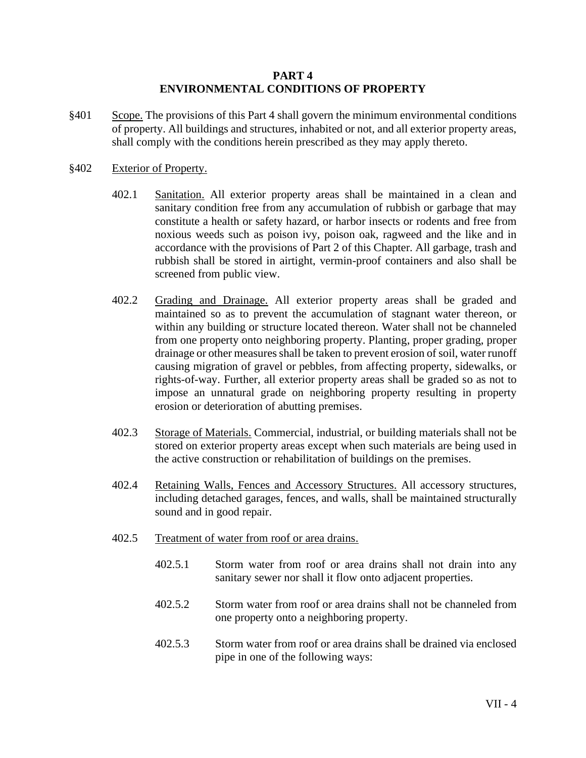#### **PART 4 ENVIRONMENTAL CONDITIONS OF PROPERTY**

§401 Scope. The provisions of this Part 4 shall govern the minimum environmental conditions of property. All buildings and structures, inhabited or not, and all exterior property areas, shall comply with the conditions herein prescribed as they may apply thereto.

#### §402 Exterior of Property.

- 402.1 Sanitation. All exterior property areas shall be maintained in a clean and sanitary condition free from any accumulation of rubbish or garbage that may constitute a health or safety hazard, or harbor insects or rodents and free from noxious weeds such as poison ivy, poison oak, ragweed and the like and in accordance with the provisions of Part 2 of this Chapter. All garbage, trash and rubbish shall be stored in airtight, vermin-proof containers and also shall be screened from public view.
- 402.2 Grading and Drainage. All exterior property areas shall be graded and maintained so as to prevent the accumulation of stagnant water thereon, or within any building or structure located thereon. Water shall not be channeled from one property onto neighboring property. Planting, proper grading, proper drainage or other measures shall be taken to prevent erosion of soil, water runoff causing migration of gravel or pebbles, from affecting property, sidewalks, or rights-of-way. Further, all exterior property areas shall be graded so as not to impose an unnatural grade on neighboring property resulting in property erosion or deterioration of abutting premises.
- 402.3 Storage of Materials. Commercial, industrial, or building materials shall not be stored on exterior property areas except when such materials are being used in the active construction or rehabilitation of buildings on the premises.
- 402.4 Retaining Walls, Fences and Accessory Structures. All accessory structures, including detached garages, fences, and walls, shall be maintained structurally sound and in good repair.
- 402.5 Treatment of water from roof or area drains.
	- 402.5.1 Storm water from roof or area drains shall not drain into any sanitary sewer nor shall it flow onto adjacent properties.
	- 402.5.2 Storm water from roof or area drains shall not be channeled from one property onto a neighboring property.
	- 402.5.3 Storm water from roof or area drains shall be drained via enclosed pipe in one of the following ways: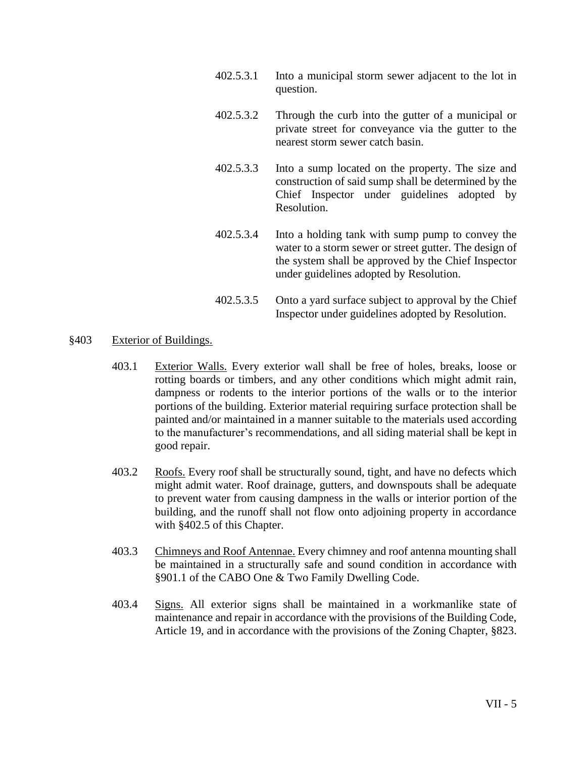- 402.5.3.1 Into a municipal storm sewer adjacent to the lot in question.
- 402.5.3.2 Through the curb into the gutter of a municipal or private street for conveyance via the gutter to the nearest storm sewer catch basin.
- 402.5.3.3 Into a sump located on the property. The size and construction of said sump shall be determined by the Chief Inspector under guidelines adopted by Resolution.
- 402.5.3.4 Into a holding tank with sump pump to convey the water to a storm sewer or street gutter. The design of the system shall be approved by the Chief Inspector under guidelines adopted by Resolution.
- 402.5.3.5 Onto a yard surface subject to approval by the Chief Inspector under guidelines adopted by Resolution.

#### §403 Exterior of Buildings.

- 403.1 Exterior Walls. Every exterior wall shall be free of holes, breaks, loose or rotting boards or timbers, and any other conditions which might admit rain, dampness or rodents to the interior portions of the walls or to the interior portions of the building. Exterior material requiring surface protection shall be painted and/or maintained in a manner suitable to the materials used according to the manufacturer's recommendations, and all siding material shall be kept in good repair.
- 403.2 Roofs. Every roof shall be structurally sound, tight, and have no defects which might admit water. Roof drainage, gutters, and downspouts shall be adequate to prevent water from causing dampness in the walls or interior portion of the building, and the runoff shall not flow onto adjoining property in accordance with §402.5 of this Chapter.
- 403.3 Chimneys and Roof Antennae. Every chimney and roof antenna mounting shall be maintained in a structurally safe and sound condition in accordance with §901.1 of the CABO One & Two Family Dwelling Code.
- 403.4 Signs. All exterior signs shall be maintained in a workmanlike state of maintenance and repair in accordance with the provisions of the Building Code, Article 19, and in accordance with the provisions of the Zoning Chapter, §823.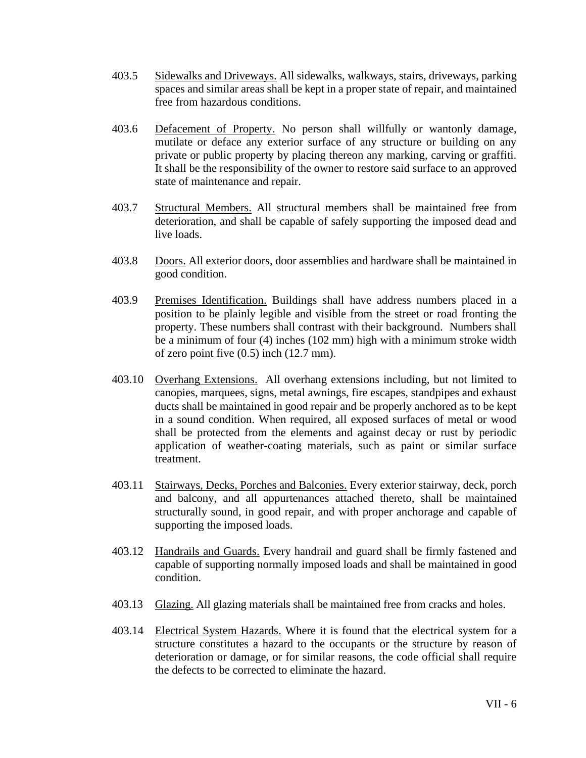- 403.5 Sidewalks and Driveways. All sidewalks, walkways, stairs, driveways, parking spaces and similar areas shall be kept in a proper state of repair, and maintained free from hazardous conditions.
- 403.6 Defacement of Property. No person shall willfully or wantonly damage, mutilate or deface any exterior surface of any structure or building on any private or public property by placing thereon any marking, carving or graffiti. It shall be the responsibility of the owner to restore said surface to an approved state of maintenance and repair.
- 403.7 Structural Members. All structural members shall be maintained free from deterioration, and shall be capable of safely supporting the imposed dead and live loads.
- 403.8 Doors. All exterior doors, door assemblies and hardware shall be maintained in good condition.
- 403.9 Premises Identification. Buildings shall have address numbers placed in a position to be plainly legible and visible from the street or road fronting the property. These numbers shall contrast with their background. Numbers shall be a minimum of four (4) inches (102 mm) high with a minimum stroke width of zero point five (0.5) inch (12.7 mm).
- 403.10 Overhang Extensions. All overhang extensions including, but not limited to canopies, marquees, signs, metal awnings, fire escapes, standpipes and exhaust ducts shall be maintained in good repair and be properly anchored as to be kept in a sound condition. When required, all exposed surfaces of metal or wood shall be protected from the elements and against decay or rust by periodic application of weather-coating materials, such as paint or similar surface treatment.
- 403.11 Stairways, Decks, Porches and Balconies. Every exterior stairway, deck, porch and balcony, and all appurtenances attached thereto, shall be maintained structurally sound, in good repair, and with proper anchorage and capable of supporting the imposed loads.
- 403.12 Handrails and Guards. Every handrail and guard shall be firmly fastened and capable of supporting normally imposed loads and shall be maintained in good condition.
- 403.13 Glazing. All glazing materials shall be maintained free from cracks and holes.
- 403.14 Electrical System Hazards. Where it is found that the electrical system for a structure constitutes a hazard to the occupants or the structure by reason of deterioration or damage, or for similar reasons, the code official shall require the defects to be corrected to eliminate the hazard.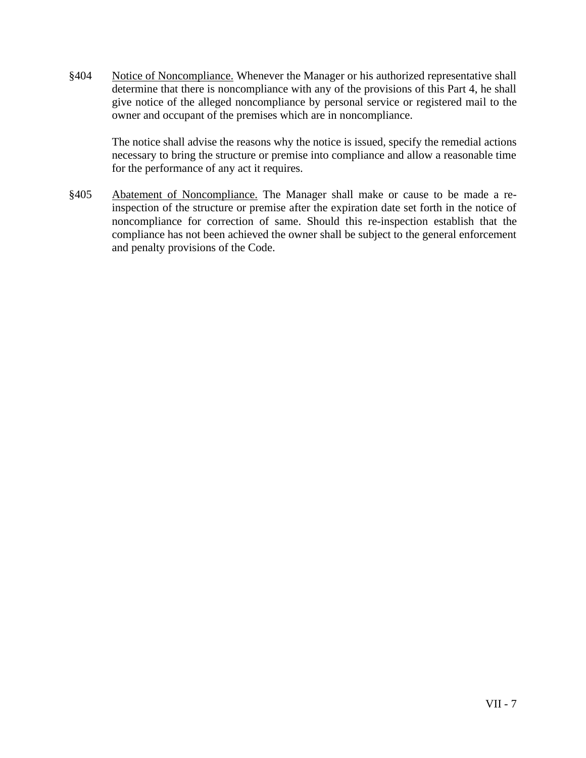§404 Notice of Noncompliance. Whenever the Manager or his authorized representative shall determine that there is noncompliance with any of the provisions of this Part 4, he shall give notice of the alleged noncompliance by personal service or registered mail to the owner and occupant of the premises which are in noncompliance.

The notice shall advise the reasons why the notice is issued, specify the remedial actions necessary to bring the structure or premise into compliance and allow a reasonable time for the performance of any act it requires.

§405 Abatement of Noncompliance. The Manager shall make or cause to be made a reinspection of the structure or premise after the expiration date set forth in the notice of noncompliance for correction of same. Should this re-inspection establish that the compliance has not been achieved the owner shall be subject to the general enforcement and penalty provisions of the Code.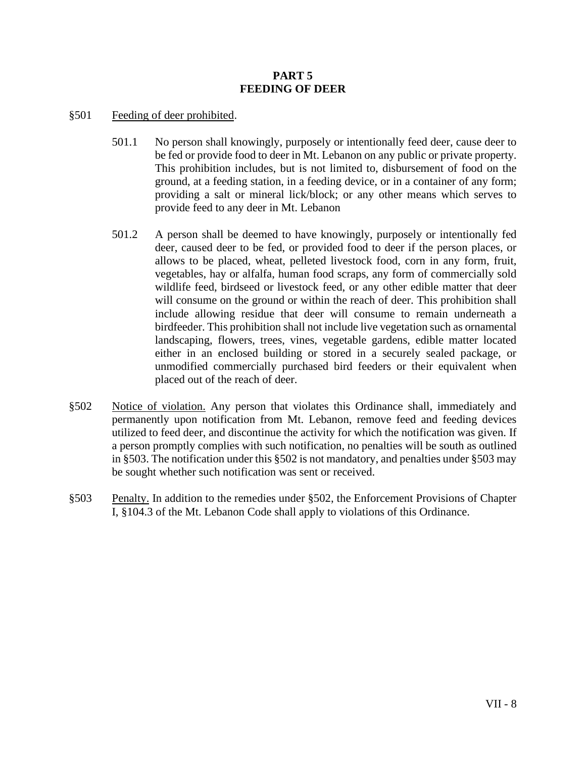#### **PART 5 FEEDING OF DEER**

#### §501 Feeding of deer prohibited.

- 501.1 No person shall knowingly, purposely or intentionally feed deer, cause deer to be fed or provide food to deer in Mt. Lebanon on any public or private property. This prohibition includes, but is not limited to, disbursement of food on the ground, at a feeding station, in a feeding device, or in a container of any form; providing a salt or mineral lick/block; or any other means which serves to provide feed to any deer in Mt. Lebanon
- 501.2 A person shall be deemed to have knowingly, purposely or intentionally fed deer, caused deer to be fed, or provided food to deer if the person places, or allows to be placed, wheat, pelleted livestock food, corn in any form, fruit, vegetables, hay or alfalfa, human food scraps, any form of commercially sold wildlife feed, birdseed or livestock feed, or any other edible matter that deer will consume on the ground or within the reach of deer. This prohibition shall include allowing residue that deer will consume to remain underneath a birdfeeder. This prohibition shall not include live vegetation such as ornamental landscaping, flowers, trees, vines, vegetable gardens, edible matter located either in an enclosed building or stored in a securely sealed package, or unmodified commercially purchased bird feeders or their equivalent when placed out of the reach of deer.
- §502 Notice of violation. Any person that violates this Ordinance shall, immediately and permanently upon notification from Mt. Lebanon, remove feed and feeding devices utilized to feed deer, and discontinue the activity for which the notification was given. If a person promptly complies with such notification, no penalties will be south as outlined in §503. The notification under this §502 is not mandatory, and penalties under §503 may be sought whether such notification was sent or received.
- §503 Penalty. In addition to the remedies under §502, the Enforcement Provisions of Chapter I, §104.3 of the Mt. Lebanon Code shall apply to violations of this Ordinance.